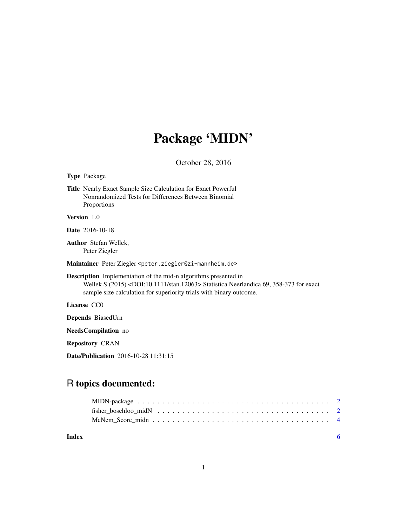## Package 'MIDN'

October 28, 2016

Type Package

Title Nearly Exact Sample Size Calculation for Exact Powerful Nonrandomized Tests for Differences Between Binomial Proportions

Version 1.0

Date 2016-10-18

Author Stefan Wellek, Peter Ziegler

Maintainer Peter Ziegler <peter.ziegler@zi-mannheim.de>

Description Implementation of the mid-n algorithms presented in Wellek S (2015) <DOI:10.1111/stan.12063> Statistica Neerlandica 69, 358-373 for exact sample size calculation for superiority trials with binary outcome.

License CC0

Depends BiasedUrn

NeedsCompilation no

Repository CRAN

Date/Publication 2016-10-28 11:31:15

## R topics documented:

| Index |  |
|-------|--|
|       |  |
|       |  |
|       |  |

1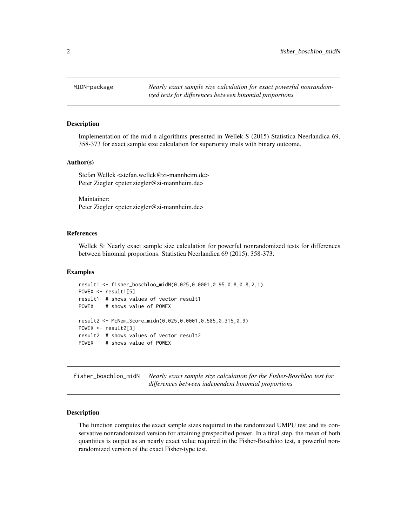<span id="page-1-0"></span>

#### Description

Implementation of the mid-n algorithms presented in Wellek S (2015) Statistica Neerlandica 69, 358-373 for exact sample size calculation for superiority trials with binary outcome.

#### Author(s)

Stefan Wellek <stefan.wellek@zi-mannheim.de> Peter Ziegler <peter.ziegler@zi-mannheim.de>

Maintainer: Peter Ziegler <peter.ziegler@zi-mannheim.de>

#### References

Wellek S: Nearly exact sample size calculation for powerful nonrandomized tests for differences between binomial proportions. Statistica Neerlandica 69 (2015), 358-373.

#### Examples

```
result1 <- fisher_boschloo_midN(0.025,0.0001,0.95,0.8,0.8,2,1)
POWEX <- result1[5]
result1 # shows values of vector result1
POWEX # shows value of POWEX
result2 <- McNem_Score_midn(0.025,0.0001,0.585,0.315,0.9)
POWEX <- result2[3]
result2 # shows values of vector result2
POWEX # shows value of POWEX
```
fisher\_boschloo\_midN *Nearly exact sample size calculation for the Fisher-Boschloo test for differences between independent binomial proportions*

#### Description

The function computes the exact sample sizes required in the randomized UMPU test and its conservative nonrandomized version for attaining prespecified power. In a final step, the mean of both quantities is output as an nearly exact value required in the Fisher-Boschloo test, a powerful nonrandomized version of the exact Fisher-type test.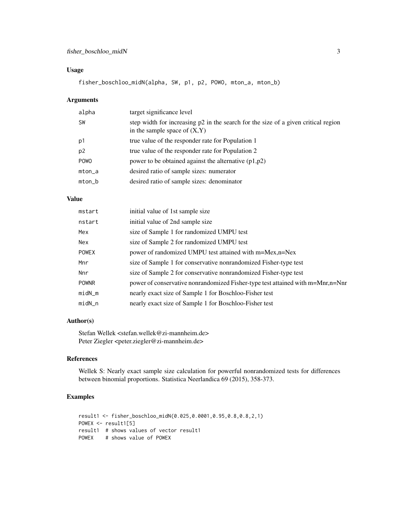#### Usage

fisher\_boschloo\_midN(alpha, SW, p1, p2, POWO, mton\_a, mton\_b)

#### Arguments

| alpha          | target significance level                                                                                             |
|----------------|-----------------------------------------------------------------------------------------------------------------------|
| <b>SW</b>      | step width for increasing p2 in the search for the size of a given critical region<br>in the sample space of $(X, Y)$ |
| p1             | true value of the responder rate for Population 1                                                                     |
| p <sub>2</sub> | true value of the responder rate for Population 2                                                                     |
| <b>POWO</b>    | power to be obtained against the alternative $(p1,p2)$                                                                |
| $mton_a$       | desired ratio of sample sizes: numerator                                                                              |
| $mton_b$       | desired ratio of sample sizes: denominator                                                                            |

#### Value

| mstart       | initial value of 1st sample size                                               |
|--------------|--------------------------------------------------------------------------------|
| nstart       | initial value of 2nd sample size                                               |
| Mex          | size of Sample 1 for randomized UMPU test                                      |
| Nex          | size of Sample 2 for randomized UMPU test                                      |
| <b>POWEX</b> | power of randomized UMPU test attained with m=Mex,n=Nex                        |
| Mnr          | size of Sample 1 for conservative nonrandomized Fisher-type test               |
| <b>Nnr</b>   | size of Sample 2 for conservative nonrandomized Fisher-type test               |
| <b>POWNR</b> | power of conservative nonrandomized Fisher-type test attained with m=Mnr,n=Nnr |
| $midM_m$     | nearly exact size of Sample 1 for Boschloo-Fisher test                         |
| $midN_n$     | nearly exact size of Sample 1 for Boschloo-Fisher test                         |

#### Author(s)

Stefan Wellek <stefan.wellek@zi-mannheim.de> Peter Ziegler <peter.ziegler@zi-mannheim.de>

#### References

Wellek S: Nearly exact sample size calculation for powerful nonrandomized tests for differences between binomial proportions. Statistica Neerlandica 69 (2015), 358-373.

#### Examples

```
result1 <- fisher_boschloo_midN(0.025,0.0001,0.95,0.8,0.8,2,1)
POWEX <- result1[5]
result1 # shows values of vector result1
POWEX # shows value of POWEX
```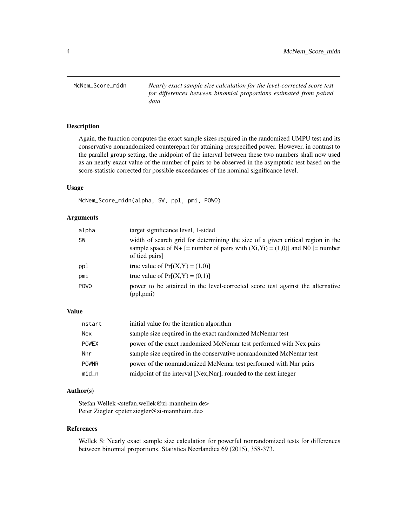<span id="page-3-0"></span>McNem\_Score\_midn *Nearly exact sample size calculation for the level-corrected score test for differences between binomial proportions estimated from paired data*

#### Description

Again, the function computes the exact sample sizes required in the randomized UMPU test and its conservative nonrandomized counterepart for attaining prespecified power. However, in contrast to the parallel group setting, the midpoint of the interval between these two numbers shall now used as an nearly exact value of the number of pairs to be observed in the asymptotic test based on the score-statistic corrected for possible exceedances of the nominal significance level.

#### Usage

McNem\_Score\_midn(alpha, SW, ppl, pmi, POWO)

#### Arguments

| alpha     | target significance level, 1-sided                                                                                                                                                   |
|-----------|--------------------------------------------------------------------------------------------------------------------------------------------------------------------------------------|
| <b>SW</b> | width of search grid for determining the size of a given critical region in the<br>sample space of N+ [= number of pairs with $(Xi,Yi) = (1,0)$ ] and N0 [= number<br>of tied pairs] |
| ppl       | true value of $Pr[(X,Y) = (1,0)]$                                                                                                                                                    |
| pmi       | true value of $Pr[(X,Y) = (0,1)]$                                                                                                                                                    |
| POWO      | power to be attained in the level-corrected score test against the alternative<br>(ppl,pmi)                                                                                          |

#### Value

| nstart       | initial value for the iteration algorithm                           |
|--------------|---------------------------------------------------------------------|
| <b>Nex</b>   | sample size required in the exact randomized McNemar test           |
| <b>POWEX</b> | power of the exact randomized McNemar test performed with Nex pairs |
| Nnr          | sample size required in the conservative nonrandomized McNemar test |
| <b>POWNR</b> | power of the nonrandomized McNemar test performed with Nnr pairs    |
| $mid_n$      | midpoint of the interval [Nex, Nnr], rounded to the next integer    |

#### Author(s)

Stefan Wellek <stefan.wellek@zi-mannheim.de> Peter Ziegler <peter.ziegler@zi-mannheim.de>

#### References

Wellek S: Nearly exact sample size calculation for powerful nonrandomized tests for differences between binomial proportions. Statistica Neerlandica 69 (2015), 358-373.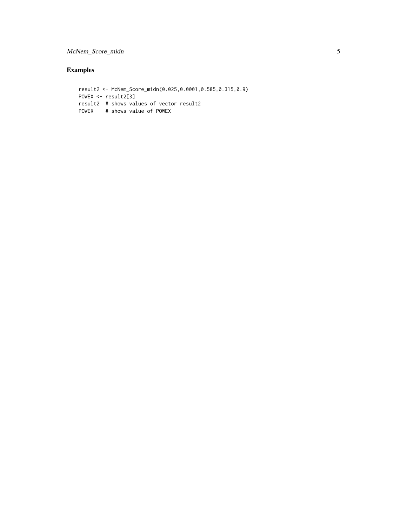### McNem\_Score\_midn 5

#### Examples

```
result2 <- McNem_Score_midn(0.025,0.0001,0.585,0.315,0.9)
POWEX <- result2[3]
result2 # shows values of vector result2
POWEX # shows value of POWEX
```